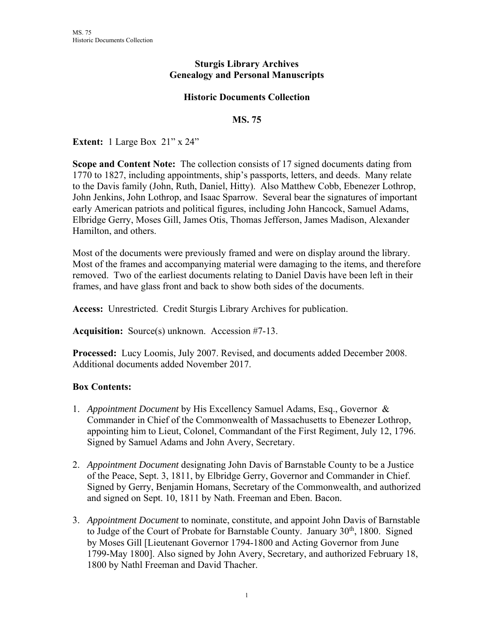## **Sturgis Library Archives Genealogy and Personal Manuscripts**

## **Historic Documents Collection**

## **MS. 75**

**Extent:** 1 Large Box 21" x 24"

**Scope and Content Note:** The collection consists of 17 signed documents dating from 1770 to 1827, including appointments, ship's passports, letters, and deeds. Many relate to the Davis family (John, Ruth, Daniel, Hitty). Also Matthew Cobb, Ebenezer Lothrop, John Jenkins, John Lothrop, and Isaac Sparrow. Several bear the signatures of important early American patriots and political figures, including John Hancock, Samuel Adams, Elbridge Gerry, Moses Gill, James Otis, Thomas Jefferson, James Madison, Alexander Hamilton, and others.

Most of the documents were previously framed and were on display around the library. Most of the frames and accompanying material were damaging to the items, and therefore removed. Two of the earliest documents relating to Daniel Davis have been left in their frames, and have glass front and back to show both sides of the documents.

**Access:** Unrestricted. Credit Sturgis Library Archives for publication.

**Acquisition:** Source(s) unknown. Accession #7-13.

**Processed:** Lucy Loomis, July 2007. Revised, and documents added December 2008. Additional documents added November 2017.

## **Box Contents:**

- 1. *Appointment Document* by His Excellency Samuel Adams, Esq., Governor & Commander in Chief of the Commonwealth of Massachusetts to Ebenezer Lothrop, appointing him to Lieut, Colonel, Commandant of the First Regiment, July 12, 1796. Signed by Samuel Adams and John Avery, Secretary.
- 2. *Appointment Document* designating John Davis of Barnstable County to be a Justice of the Peace, Sept. 3, 1811, by Elbridge Gerry, Governor and Commander in Chief. Signed by Gerry, Benjamin Homans, Secretary of the Commonwealth, and authorized and signed on Sept. 10, 1811 by Nath. Freeman and Eben. Bacon.
- 3. *Appointment Document* to nominate, constitute, and appoint John Davis of Barnstable to Judge of the Court of Probate for Barnstable County. January  $30<sup>th</sup>$ , 1800. Signed by Moses Gill [Lieutenant Governor 1794-1800 and Acting Governor from June 1799-May 1800]. Also signed by John Avery, Secretary, and authorized February 18, 1800 by Nathl Freeman and David Thacher.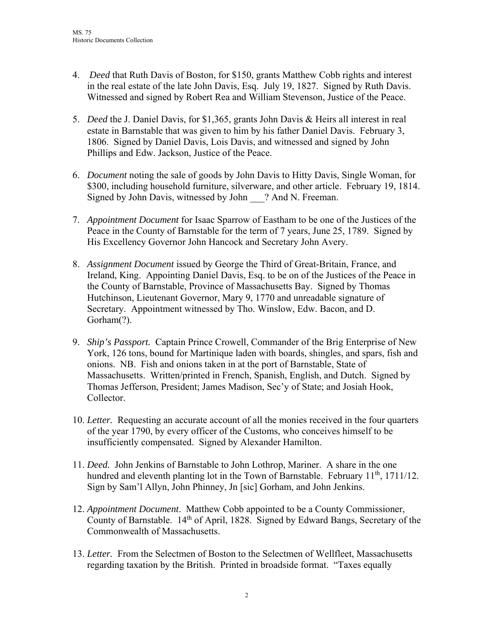- 4. *Deed* that Ruth Davis of Boston, for \$150, grants Matthew Cobb rights and interest in the real estate of the late John Davis, Esq. July 19, 1827. Signed by Ruth Davis. Witnessed and signed by Robert Rea and William Stevenson, Justice of the Peace.
- 5. *Deed* the J. Daniel Davis, for \$1,365, grants John Davis & Heirs all interest in real estate in Barnstable that was given to him by his father Daniel Davis. February 3, 1806. Signed by Daniel Davis, Lois Davis, and witnessed and signed by John Phillips and Edw. Jackson, Justice of the Peace.
- 6. *Document* noting the sale of goods by John Davis to Hitty Davis, Single Woman, for \$300, including household furniture, silverware, and other article. February 19, 1814. Signed by John Davis, witnessed by John ? And N. Freeman.
- 7. *Appointment Document* for Isaac Sparrow of Eastham to be one of the Justices of the Peace in the County of Barnstable for the term of 7 years, June 25, 1789. Signed by His Excellency Governor John Hancock and Secretary John Avery.
- 8. *Assignment Document* issued by George the Third of Great-Britain, France, and Ireland, King. Appointing Daniel Davis, Esq. to be on of the Justices of the Peace in the County of Barnstable, Province of Massachusetts Bay. Signed by Thomas Hutchinson, Lieutenant Governor, Mary 9, 1770 and unreadable signature of Secretary. Appointment witnessed by Tho. Winslow, Edw. Bacon, and D. Gorham(?).
- 9. *Ship's Passport.* Captain Prince Crowell, Commander of the Brig Enterprise of New York, 126 tons, bound for Martinique laden with boards, shingles, and spars, fish and onions. NB. Fish and onions taken in at the port of Barnstable, State of Massachusetts. Written/printed in French, Spanish, English, and Dutch. Signed by Thomas Jefferson, President; James Madison, Sec'y of State; and Josiah Hook, Collector.
- 10. *Letter.* Requesting an accurate account of all the monies received in the four quarters of the year 1790, by every officer of the Customs, who conceives himself to be insufficiently compensated. Signed by Alexander Hamilton.
- 11. *Deed.* John Jenkins of Barnstable to John Lothrop, Mariner. A share in the one hundred and eleventh planting lot in the Town of Barnstable. February  $11^{th}$ , 1711/12. Sign by Sam'l Allyn, John Phinney, Jn [sic] Gorham, and John Jenkins.
- 12. *Appointment Document*. Matthew Cobb appointed to be a County Commissioner, County of Barnstable. 14th of April, 1828. Signed by Edward Bangs, Secretary of the Commonwealth of Massachusetts.
- 13. *Letter.* From the Selectmen of Boston to the Selectmen of Wellfleet, Massachusetts regarding taxation by the British. Printed in broadside format. "Taxes equally